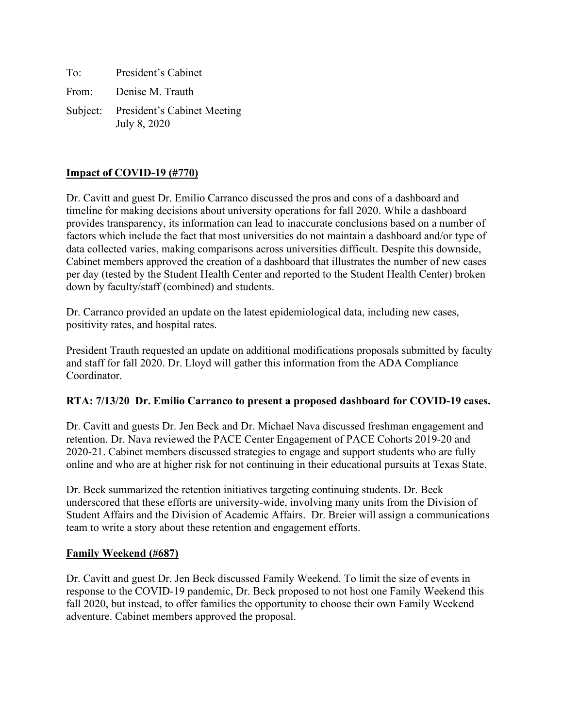To: President's Cabinet From: Denise M. Trauth Subject: President's Cabinet Meeting July 8, 2020

### **Impact of COVID-19 (#770)**

Dr. Cavitt and guest Dr. Emilio Carranco discussed the pros and cons of a dashboard and timeline for making decisions about university operations for fall 2020. While a dashboard provides transparency, its information can lead to inaccurate conclusions based on a number of factors which include the fact that most universities do not maintain a dashboard and/or type of data collected varies, making comparisons across universities difficult. Despite this downside, Cabinet members approved the creation of a dashboard that illustrates the number of new cases per day (tested by the Student Health Center and reported to the Student Health Center) broken down by faculty/staff (combined) and students.

Dr. Carranco provided an update on the latest epidemiological data, including new cases, positivity rates, and hospital rates.

President Trauth requested an update on additional modifications proposals submitted by faculty and staff for fall 2020. Dr. Lloyd will gather this information from the ADA Compliance Coordinator.

### **RTA: 7/13/20 Dr. Emilio Carranco to present a proposed dashboard for COVID-19 cases.**

Dr. Cavitt and guests Dr. Jen Beck and Dr. Michael Nava discussed freshman engagement and retention. Dr. Nava reviewed the PACE Center Engagement of PACE Cohorts 2019-20 and 2020-21. Cabinet members discussed strategies to engage and support students who are fully online and who are at higher risk for not continuing in their educational pursuits at Texas State.

Dr. Beck summarized the retention initiatives targeting continuing students. Dr. Beck underscored that these efforts are university-wide, involving many units from the Division of Student Affairs and the Division of Academic Affairs. Dr. Breier will assign a communications team to write a story about these retention and engagement efforts.

### **Family Weekend (#687)**

Dr. Cavitt and guest Dr. Jen Beck discussed Family Weekend. To limit the size of events in response to the COVID-19 pandemic, Dr. Beck proposed to not host one Family Weekend this fall 2020, but instead, to offer families the opportunity to choose their own Family Weekend adventure. Cabinet members approved the proposal.